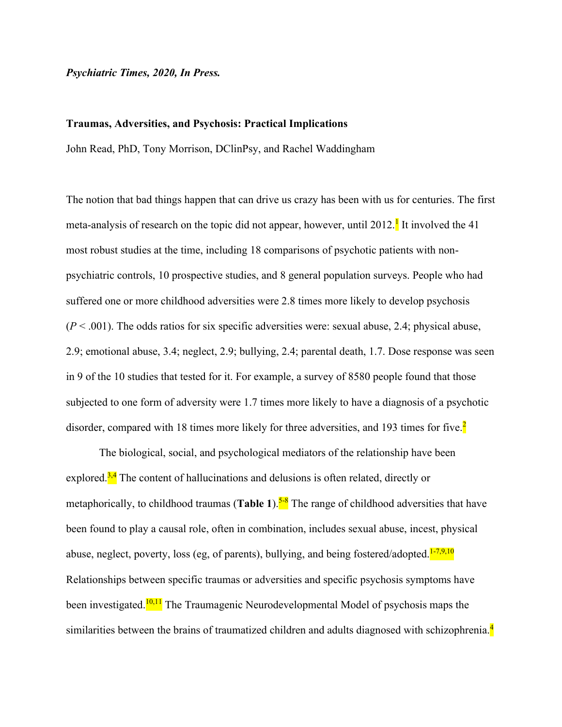### *Psychiatric Times, 2020, In Press.*

#### **Traumas, Adversities, and Psychosis: Practical Implications**

John Read, PhD, Tony Morrison, DClinPsy, and Rachel Waddingham

The notion that bad things happen that can drive us crazy has been with us for centuries. The first meta-analysis of research on the topic did not appear, however, until 2012.<sup>1</sup> It involved the 41 most robust studies at the time, including 18 comparisons of psychotic patients with nonpsychiatric controls, 10 prospective studies, and 8 general population surveys. People who had suffered one or more childhood adversities were 2.8 times more likely to develop psychosis  $(P < .001)$ . The odds ratios for six specific adversities were: sexual abuse, 2.4; physical abuse, 2.9; emotional abuse, 3.4; neglect, 2.9; bullying, 2.4; parental death, 1.7. Dose response was seen in 9 of the 10 studies that tested for it. For example, a survey of 8580 people found that those subjected to one form of adversity were 1.7 times more likely to have a diagnosis of a psychotic disorder, compared with 18 times more likely for three adversities, and 193 times for five.<sup>2</sup>

The biological, social, and psychological mediators of the relationship have been explored. $3,4$  The content of hallucinations and delusions is often related, directly or metaphorically, to childhood traumas (**Table 1**).<sup>5-8</sup> The range of childhood adversities that have been found to play a causal role, often in combination, includes sexual abuse, incest, physical abuse, neglect, poverty, loss (eg, of parents), bullying, and being fostered/adopted. $1-7,9,10$ Relationships between specific traumas or adversities and specific psychosis symptoms have been investigated.<sup>10,11</sup> The Traumagenic Neurodevelopmental Model of psychosis maps the similarities between the brains of traumatized children and adults diagnosed with schizophrenia. $\frac{4}{3}$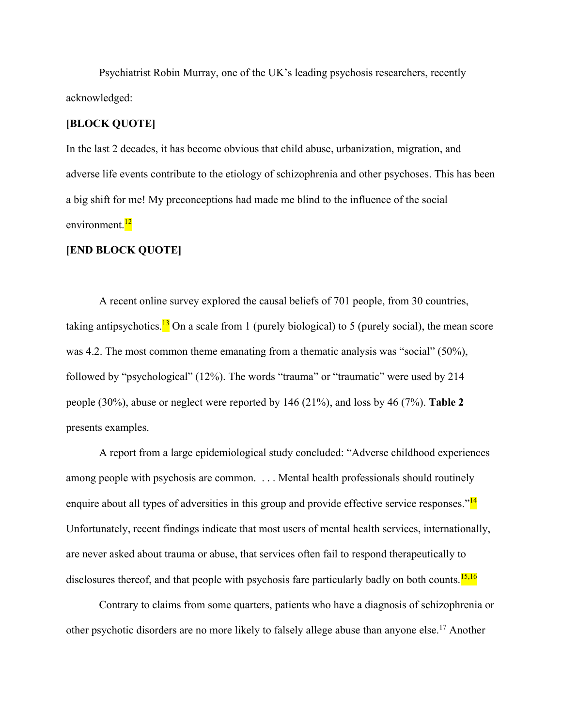Psychiatrist Robin Murray, one of the UK's leading psychosis researchers, recently acknowledged:

### **[BLOCK QUOTE]**

In the last 2 decades, it has become obvious that child abuse, urbanization, migration, and adverse life events contribute to the etiology of schizophrenia and other psychoses. This has been a big shift for me! My preconceptions had made me blind to the influence of the social environment.<sup>12</sup>

### **[END BLOCK QUOTE]**

A recent online survey explored the causal beliefs of 701 people, from 30 countries, taking antipsychotics.<sup>13</sup> On a scale from 1 (purely biological) to 5 (purely social), the mean score was 4.2. The most common theme emanating from a thematic analysis was "social" (50%), followed by "psychological" (12%). The words "trauma" or "traumatic" were used by 214 people (30%), abuse or neglect were reported by 146 (21%), and loss by 46 (7%). **Table 2** presents examples.

A report from a large epidemiological study concluded: "Adverse childhood experiences among people with psychosis are common. . . . Mental health professionals should routinely enquire about all types of adversities in this group and provide effective service responses."<sup>14</sup> Unfortunately, recent findings indicate that most users of mental health services, internationally, are never asked about trauma or abuse, that services often fail to respond therapeutically to disclosures thereof, and that people with psychosis fare particularly badly on both counts.<sup>15,16</sup>

Contrary to claims from some quarters, patients who have a diagnosis of schizophrenia or other psychotic disorders are no more likely to falsely allege abuse than anyone else.<sup>17</sup> Another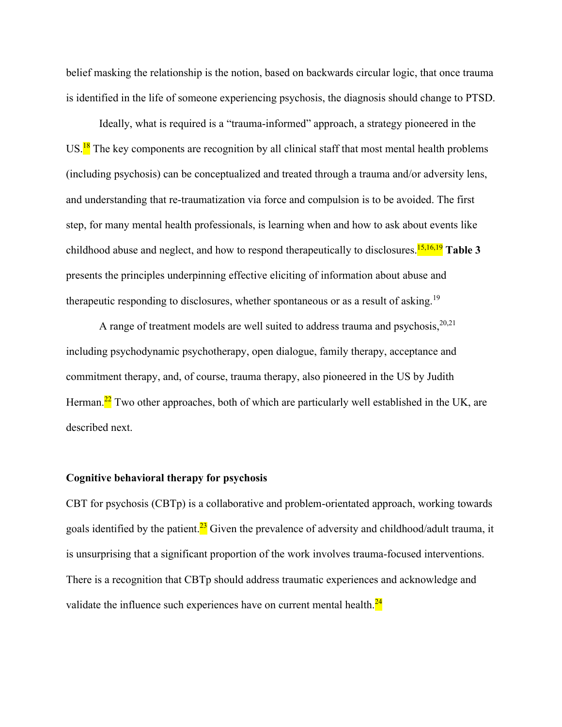belief masking the relationship is the notion, based on backwards circular logic, that once trauma is identified in the life of someone experiencing psychosis, the diagnosis should change to PTSD.

Ideally, what is required is a "trauma-informed" approach, a strategy pioneered in the US.<sup>18</sup> The key components are recognition by all clinical staff that most mental health problems (including psychosis) can be conceptualized and treated through a trauma and/or adversity lens, and understanding that re-traumatization via force and compulsion is to be avoided. The first step, for many mental health professionals, is learning when and how to ask about events like childhood abuse and neglect, and how to respond therapeutically to disclosures.<sup>15,16,19</sup> Table 3 presents the principles underpinning effective eliciting of information about abuse and therapeutic responding to disclosures, whether spontaneous or as a result of asking.<sup>19</sup>

A range of treatment models are well suited to address trauma and psychosis,  $20,21$ including psychodynamic psychotherapy, open dialogue, family therapy, acceptance and commitment therapy, and, of course, trauma therapy, also pioneered in the US by Judith Herman.<sup>22</sup> Two other approaches, both of which are particularly well established in the UK, are described next.

### **Cognitive behavioral therapy for psychosis**

CBT for psychosis (CBTp) is a collaborative and problem-orientated approach, working towards goals identified by the patient.<sup>23</sup> Given the prevalence of adversity and childhood/adult trauma, it is unsurprising that a significant proportion of the work involves trauma-focused interventions. There is a recognition that CBTp should address traumatic experiences and acknowledge and validate the influence such experiences have on current mental health. $\frac{24}{3}$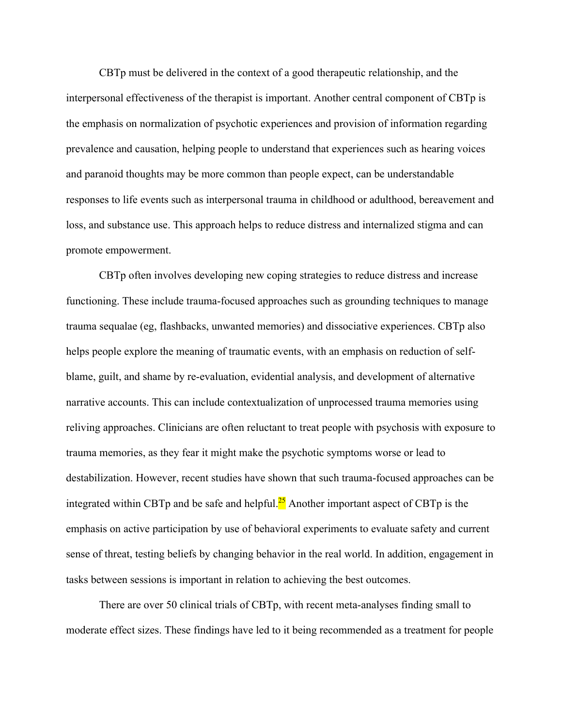CBTp must be delivered in the context of a good therapeutic relationship, and the interpersonal effectiveness of the therapist is important. Another central component of CBTp is the emphasis on normalization of psychotic experiences and provision of information regarding prevalence and causation, helping people to understand that experiences such as hearing voices and paranoid thoughts may be more common than people expect, can be understandable responses to life events such as interpersonal trauma in childhood or adulthood, bereavement and loss, and substance use. This approach helps to reduce distress and internalized stigma and can promote empowerment.

CBTp often involves developing new coping strategies to reduce distress and increase functioning. These include trauma-focused approaches such as grounding techniques to manage trauma sequalae (eg, flashbacks, unwanted memories) and dissociative experiences. CBTp also helps people explore the meaning of traumatic events, with an emphasis on reduction of selfblame, guilt, and shame by re-evaluation, evidential analysis, and development of alternative narrative accounts. This can include contextualization of unprocessed trauma memories using reliving approaches. Clinicians are often reluctant to treat people with psychosis with exposure to trauma memories, as they fear it might make the psychotic symptoms worse or lead to destabilization. However, recent studies have shown that such trauma-focused approaches can be integrated within CBTp and be safe and helpful. $^{25}$  Another important aspect of CBTp is the emphasis on active participation by use of behavioral experiments to evaluate safety and current sense of threat, testing beliefs by changing behavior in the real world. In addition, engagement in tasks between sessions is important in relation to achieving the best outcomes.

There are over 50 clinical trials of CBTp, with recent meta-analyses finding small to moderate effect sizes. These findings have led to it being recommended as a treatment for people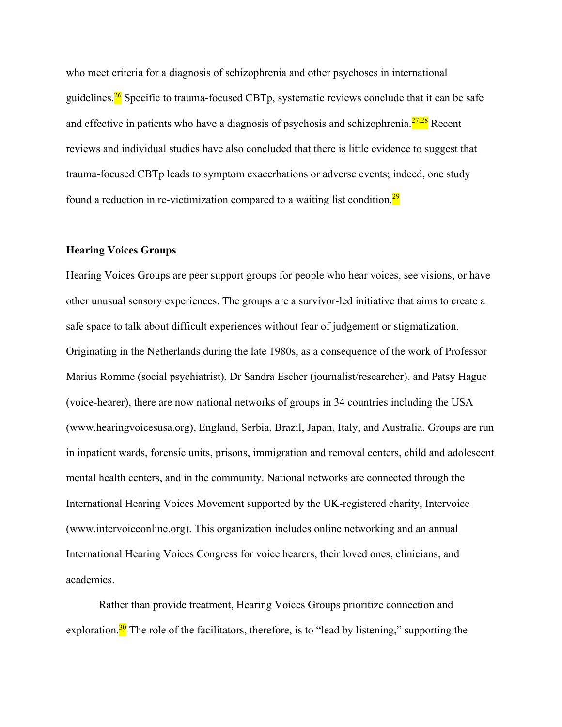who meet criteria for a diagnosis of schizophrenia and other psychoses in international guidelines.<sup>26</sup> Specific to trauma-focused CBTp, systematic reviews conclude that it can be safe and effective in patients who have a diagnosis of psychosis and schizophrenia. $\frac{27,28}{ }$  Recent reviews and individual studies have also concluded that there is little evidence to suggest that trauma-focused CBTp leads to symptom exacerbations or adverse events; indeed, one study found a reduction in re-victimization compared to a waiting list condition. $\frac{29}{29}$ 

### **Hearing Voices Groups**

Hearing Voices Groups are peer support groups for people who hear voices, see visions, or have other unusual sensory experiences. The groups are a survivor-led initiative that aims to create a safe space to talk about difficult experiences without fear of judgement or stigmatization. Originating in the Netherlands during the late 1980s, as a consequence of the work of Professor Marius Romme (social psychiatrist), Dr Sandra Escher (journalist/researcher), and Patsy Hague (voice-hearer), there are now national networks of groups in 34 countries including the USA (www.hearingvoicesusa.org), England, Serbia, Brazil, Japan, Italy, and Australia. Groups are run in inpatient wards, forensic units, prisons, immigration and removal centers, child and adolescent mental health centers, and in the community. National networks are connected through the International Hearing Voices Movement supported by the UK-registered charity, Intervoice (www.intervoiceonline.org). This organization includes online networking and an annual International Hearing Voices Congress for voice hearers, their loved ones, clinicians, and academics.

Rather than provide treatment, Hearing Voices Groups prioritize connection and exploration.<sup>30</sup> The role of the facilitators, therefore, is to "lead by listening," supporting the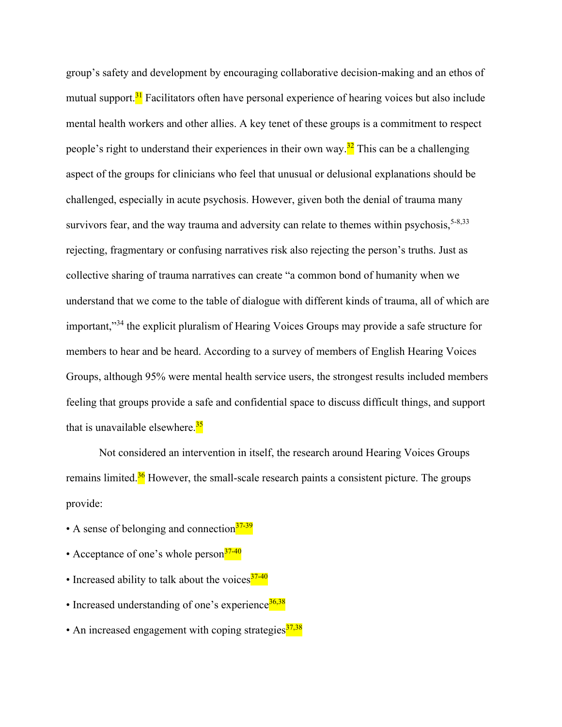group's safety and development by encouraging collaborative decision-making and an ethos of mutual support.<sup>31</sup> Facilitators often have personal experience of hearing voices but also include mental health workers and other allies. A key tenet of these groups is a commitment to respect people's right to understand their experiences in their own way.<sup>32</sup> This can be a challenging aspect of the groups for clinicians who feel that unusual or delusional explanations should be challenged, especially in acute psychosis. However, given both the denial of trauma many survivors fear, and the way trauma and adversity can relate to themes within psychosis,  $5-8,33$ rejecting, fragmentary or confusing narratives risk also rejecting the person's truths. Just as collective sharing of trauma narratives can create "a common bond of humanity when we understand that we come to the table of dialogue with different kinds of trauma, all of which are important,"<sup>34</sup> the explicit pluralism of Hearing Voices Groups may provide a safe structure for members to hear and be heard. According to a survey of members of English Hearing Voices Groups, although 95% were mental health service users, the strongest results included members feeling that groups provide a safe and confidential space to discuss difficult things, and support that is unavailable elsewhere.<sup>35</sup>

Not considered an intervention in itself, the research around Hearing Voices Groups remains limited. $36$  However, the small-scale research paints a consistent picture. The groups provide:

- A sense of belonging and connection  $37-39$
- Acceptance of one's whole person $\frac{37-40}{37}$
- Increased ability to talk about the voices $37-40$
- Increased understanding of one's experience $\frac{36,38}{2}$
- An increased engagement with coping strategies $\frac{37,38}{2}$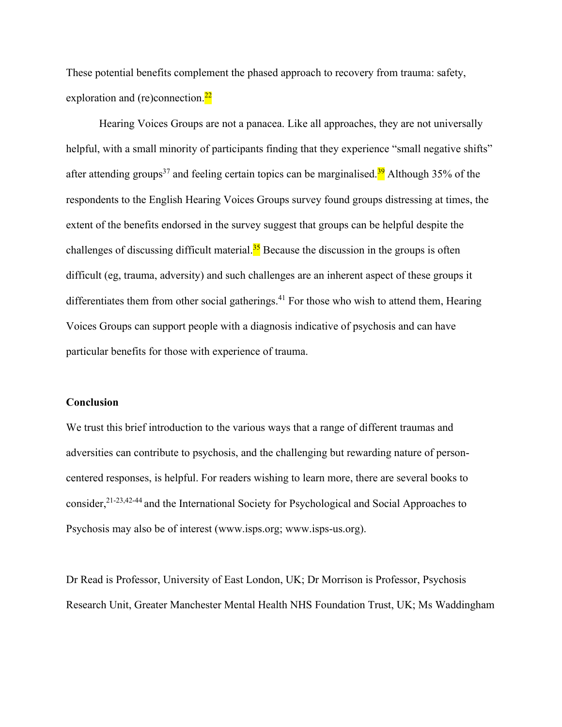These potential benefits complement the phased approach to recovery from trauma: safety, exploration and (re)connection. $\frac{22}{2}$ 

Hearing Voices Groups are not a panacea. Like all approaches, they are not universally helpful, with a small minority of participants finding that they experience "small negative shifts" after attending groups<sup>37</sup> and feeling certain topics can be marginalised.<sup>39</sup> Although 35% of the respondents to the English Hearing Voices Groups survey found groups distressing at times, the extent of the benefits endorsed in the survey suggest that groups can be helpful despite the challenges of discussing difficult material.<sup>35</sup> Because the discussion in the groups is often difficult (eg, trauma, adversity) and such challenges are an inherent aspect of these groups it differentiates them from other social gatherings.<sup>41</sup> For those who wish to attend them, Hearing Voices Groups can support people with a diagnosis indicative of psychosis and can have particular benefits for those with experience of trauma.

### **Conclusion**

We trust this brief introduction to the various ways that a range of different traumas and adversities can contribute to psychosis, and the challenging but rewarding nature of personcentered responses, is helpful. For readers wishing to learn more, there are several books to consider,<sup>21-23,42-44</sup> and the International Society for Psychological and Social Approaches to Psychosis may also be of interest [\(www.isps.org;](http://www.isps.org/) www.isps-us.org).

Dr Read is Professor, University of East London, UK; Dr Morrison is Professor, Psychosis Research Unit, Greater Manchester Mental Health NHS Foundation Trust, UK; Ms Waddingham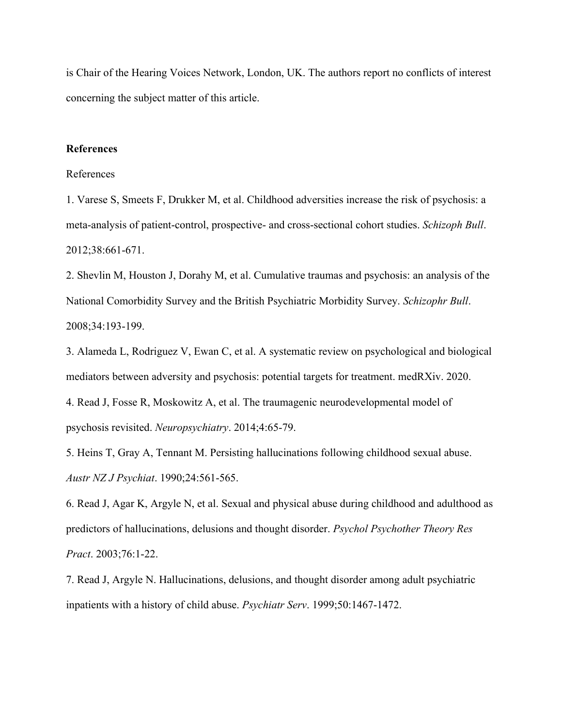is Chair of the Hearing Voices Network, London, UK. The authors report no conflicts of interest concerning the subject matter of this article.

### **References**

### References

1. Varese S, Smeets F, Drukker M, et al. Childhood adversities increase the risk of psychosis: a meta-analysis of patient-control, prospective- and cross-sectional cohort studies. *Schizoph Bull*. 2012;38:661-671.

2. Shevlin M, Houston J, Dorahy M, et al. Cumulative traumas and psychosis: an analysis of the National Comorbidity Survey and the British Psychiatric Morbidity Survey. *Schizophr Bull*. 2008;34:193-199.

3. Alameda L, Rodriguez V, Ewan C, et al. A systematic review on psychological and biological mediators between adversity and psychosis: potential targets for treatment. medRXiv. 2020.

4. Read J, Fosse R, Moskowitz A, et al. The traumagenic neurodevelopmental model of psychosis revisited. *Neuropsychiatry*. 2014;4:65-79.

5. Heins T, Gray A, Tennant M. Persisting hallucinations following childhood sexual abuse. *Austr NZ J Psychiat*. 1990;24:561-565.

6. Read J, Agar K, Argyle N, et al. Sexual and physical abuse during childhood and adulthood as predictors of hallucinations, delusions and thought disorder. *Psychol Psychother Theory Res Pract*. 2003;76:1-22.

7. Read J, Argyle N. Hallucinations, delusions, and thought disorder among adult psychiatric inpatients with a history of child abuse. *Psychiatr Serv*. 1999;50:1467-1472.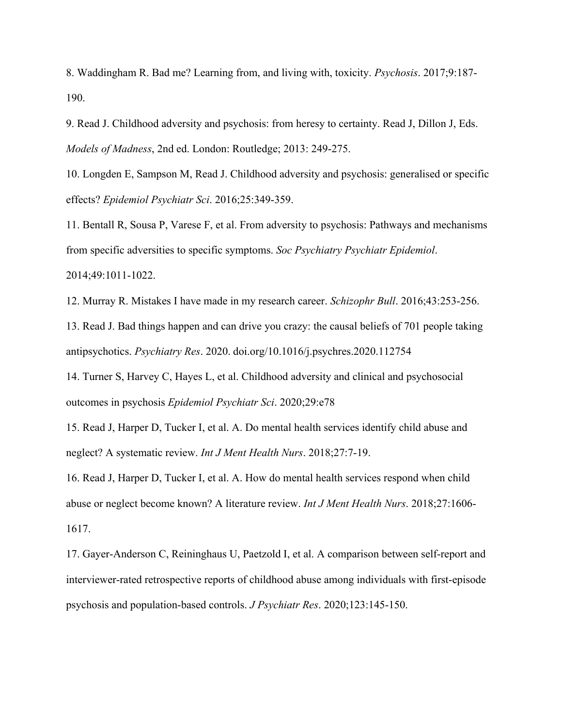8. Waddingham R. Bad me? Learning from, and living with, toxicity. *Psychosis*. 2017;9:187- 190.

9. Read J. Childhood adversity and psychosis: from heresy to certainty. Read J, Dillon J, Eds. *Models of Madness*, 2nd ed. London: Routledge; 2013: 249-275.

10. Longden E, Sampson M, Read J. Childhood adversity and psychosis: generalised or specific effects? *Epidemiol Psychiatr Sci*. 2016;25:349-359.

11. Bentall R, Sousa P, Varese F, et al. From adversity to psychosis: Pathways and mechanisms from specific adversities to specific symptoms. *Soc Psychiatry Psychiatr Epidemiol*. 2014;49:1011-1022.

12. Murray R. Mistakes I have made in my research career. *Schizophr Bull*. 2016;43:253-256.

13. Read J. Bad things happen and can drive you crazy: the causal beliefs of 701 people taking antipsychotics. *Psychiatry Res*. 2020. doi.org/10.1016/j.psychres.2020.112754

14. Turner S, Harvey C, Hayes L, et al. Childhood adversity and clinical and psychosocial outcomes in psychosis *Epidemiol Psychiatr Sci*. 2020;29:e78

15. Read J, Harper D, Tucker I, et al. A. Do mental health services identify child abuse and neglect? A systematic review. *Int J Ment Health Nurs*. 2018;27:7-19.

16. Read J, Harper D, Tucker I, et al. A. How do mental health services respond when child abuse or neglect become known? A literature review. *Int J Ment Health Nurs*. 2018;27:1606- 1617.

17. Gayer-Anderson C, Reininghaus U, Paetzold I, et al. A comparison between self-report and interviewer-rated retrospective reports of childhood abuse among individuals with first-episode psychosis and population-based controls. *J Psychiatr Res*. 2020;123:145-150.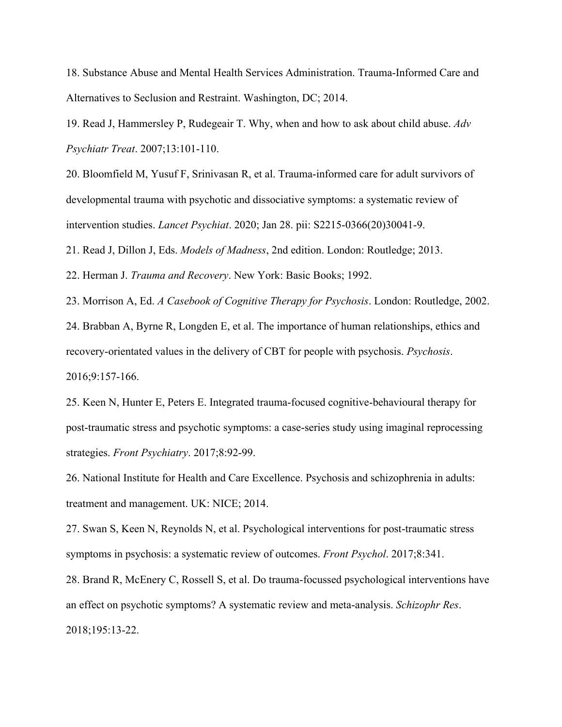18. Substance Abuse and Mental Health Services Administration. Trauma-Informed Care and Alternatives to Seclusion and Restraint. Washington, DC; 2014.

19. Read J, Hammersley P, Rudegeair T. Why, when and how to ask about child abuse. *Adv Psychiatr Treat*. 2007;13:101-110.

20. Bloomfield M, Yusuf F, Srinivasan R, et al. Trauma-informed care for adult survivors of developmental trauma with psychotic and dissociative symptoms: a systematic review of intervention studies. *Lancet Psychiat*. 2020; Jan 28. pii: S2215-0366(20)30041-9.

21. Read J, Dillon J, Eds. *Models of Madness*, 2nd edition. London: Routledge; 2013.

22. Herman J. *Trauma and Recovery*. New York: Basic Books; 1992.

23. Morrison A, Ed. *A Casebook of Cognitive Therapy for Psychosis*. London: Routledge, 2002.

24. Brabban A, Byrne R, Longden E, et al. The importance of human relationships, ethics and recovery-orientated values in the delivery of CBT for people with psychosis. *Psychosis*. 2016;9:157-166.

25. Keen N, Hunter E, Peters E. Integrated trauma-focused cognitive-behavioural therapy for post-traumatic stress and psychotic symptoms: a case-series study using imaginal reprocessing strategies. *Front Psychiatry*. 2017;8:92-99.

26. National Institute for Health and Care Excellence. Psychosis and schizophrenia in adults: treatment and management. UK: NICE; 2014.

27. Swan S, Keen N, Reynolds N, et al. Psychological interventions for post-traumatic stress symptoms in psychosis: a systematic review of outcomes. *Front Psychol*. 2017;8:341.

28. Brand R, McEnery C, Rossell S, et al. Do trauma-focussed psychological interventions have an effect on psychotic symptoms? A systematic review and meta-analysis. *Schizophr Res*. 2018;195:13-22.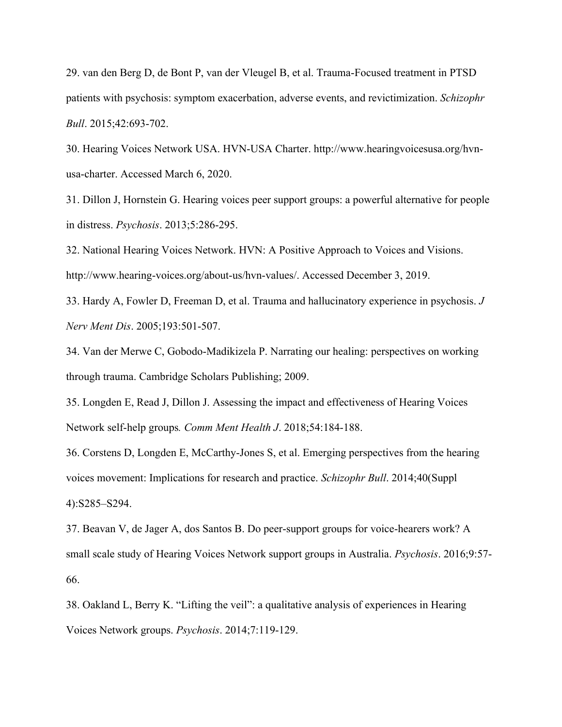29. van den Berg D, de Bont P, van der Vleugel B, et al. Trauma-Focused treatment in PTSD patients with psychosis: symptom exacerbation, adverse events, and revictimization. *Schizophr Bull*. 2015;42:693-702.

30. Hearing Voices Network USA. HVN-USA Charter. http://www.hearingvoicesusa.org/hvnusa-charter. Accessed March 6, 2020.

31. Dillon J, Hornstein G. Hearing voices peer support groups: a powerful alternative for people in distress. *Psychosis*. 2013;5:286-295.

32. National Hearing Voices Network. HVN: A Positive Approach to Voices and Visions. http://www.hearing-voices.org/about-us/hvn-values/. Accessed December 3, 2019.

33. Hardy A, Fowler D, Freeman D, et al. Trauma and hallucinatory experience in psychosis. *J Nerv Ment Dis*. 2005;193:501-507.

34. Van der Merwe C, Gobodo-Madikizela P. Narrating our healing: perspectives on working through trauma. Cambridge Scholars Publishing; 2009.

35. Longden E, Read J, Dillon J. Assessing the impact and effectiveness of Hearing Voices Network self-help groups*. Comm Ment Health J*. 2018;54:184-188.

36. Corstens D, Longden E, McCarthy-Jones S, et al. Emerging perspectives from the hearing voices movement: Implications for research and practice. *Schizophr Bull*. 2014;40(Suppl 4):S285–S294.

37. Beavan V, de Jager A, dos Santos B. Do peer-support groups for voice-hearers work? A small scale study of Hearing Voices Network support groups in Australia. *Psychosis*. 2016;9:57- 66.

38. Oakland L, Berry K. "Lifting the veil": a qualitative analysis of experiences in Hearing Voices Network groups. *Psychosis*. 2014;7:119-129.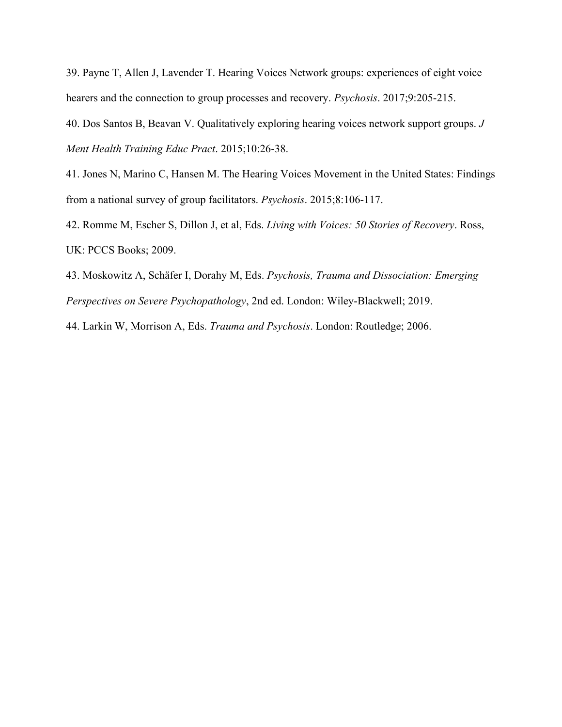39. Payne T, Allen J, Lavender T. Hearing Voices Network groups: experiences of eight voice hearers and the connection to group processes and recovery. *Psychosis*. 2017;9:205-215.

40. Dos Santos B, Beavan V. Qualitatively exploring hearing voices network support groups. *J Ment Health Training Educ Pract*. 2015;10:26-38.

41. Jones N, Marino C, Hansen M. The Hearing Voices Movement in the United States: Findings from a national survey of group facilitators. *Psychosis*. 2015;8:106-117.

42. Romme M, Escher S, Dillon J, et al, Eds. *Living with Voices: 50 Stories of Recovery*. Ross, UK: PCCS Books; 2009.

43. Moskowitz A, Schäfer I, Dorahy M, Eds. *Psychosis, Trauma and Dissociation: Emerging Perspectives on Severe Psychopathology*, 2nd ed. London: Wiley-Blackwell; 2019.

44. Larkin W, Morrison A, Eds. *Trauma and Psychosis*. London: Routledge; 2006.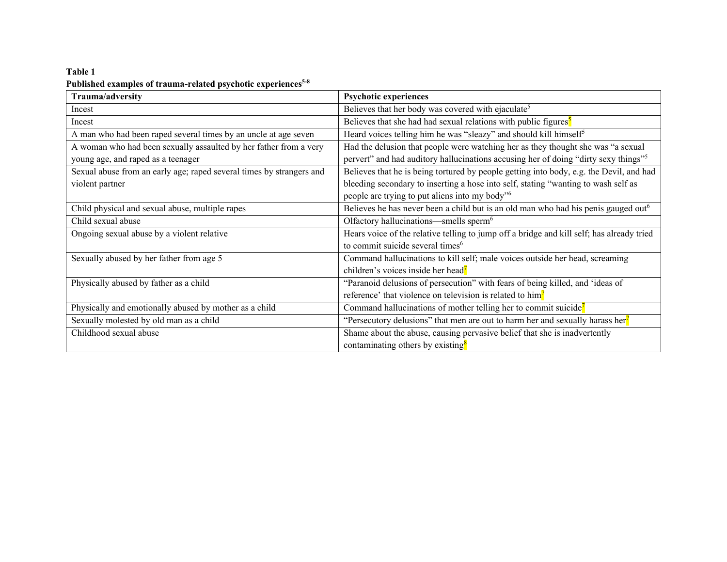## **Table 1 Published examples of trauma-related psychotic experiences5-8**

| Trauma/adversity                                                     | <b>Psychotic experiences</b>                                                                    |
|----------------------------------------------------------------------|-------------------------------------------------------------------------------------------------|
| Incest                                                               | Believes that her body was covered with ejaculate <sup>5</sup>                                  |
| Incest                                                               | Believes that she had had sexual relations with public figures <sup>5</sup>                     |
| A man who had been raped several times by an uncle at age seven      | Heard voices telling him he was "sleazy" and should kill himself <sup>5</sup>                   |
| A woman who had been sexually assaulted by her father from a very    | Had the delusion that people were watching her as they thought she was "a sexual                |
| young age, and raped as a teenager                                   | pervert" and had auditory hallucinations accusing her of doing "dirty sexy things" <sup>5</sup> |
| Sexual abuse from an early age; raped several times by strangers and | Believes that he is being tortured by people getting into body, e.g. the Devil, and had         |
| violent partner                                                      | bleeding secondary to inserting a hose into self, stating "wanting to wash self as              |
|                                                                      | people are trying to put aliens into my body" <sup>6</sup>                                      |
| Child physical and sexual abuse, multiple rapes                      | Believes he has never been a child but is an old man who had his penis gauged out <sup>6</sup>  |
| Child sexual abuse                                                   | Olfactory hallucinations—smells sperm <sup>6</sup>                                              |
| Ongoing sexual abuse by a violent relative                           | Hears voice of the relative telling to jump off a bridge and kill self; has already tried       |
|                                                                      | to commit suicide several times <sup>6</sup>                                                    |
| Sexually abused by her father from age 5                             | Command hallucinations to kill self; male voices outside her head, screaming                    |
|                                                                      | children's voices inside her head <sup>7</sup>                                                  |
| Physically abused by father as a child                               | "Paranoid delusions of persecution" with fears of being killed, and 'ideas of                   |
|                                                                      | reference' that violence on television is related to him <sup>7</sup>                           |
| Physically and emotionally abused by mother as a child               | Command hallucinations of mother telling her to commit suicide $\frac{7}{2}$                    |
| Sexually molested by old man as a child                              | "Persecutory delusions" that men are out to harm her and sexually harass her <sup>7</sup>       |
| Childhood sexual abuse                                               | Shame about the abuse, causing pervasive belief that she is inadvertently                       |
|                                                                      | contaminating others by existing <sup>8</sup>                                                   |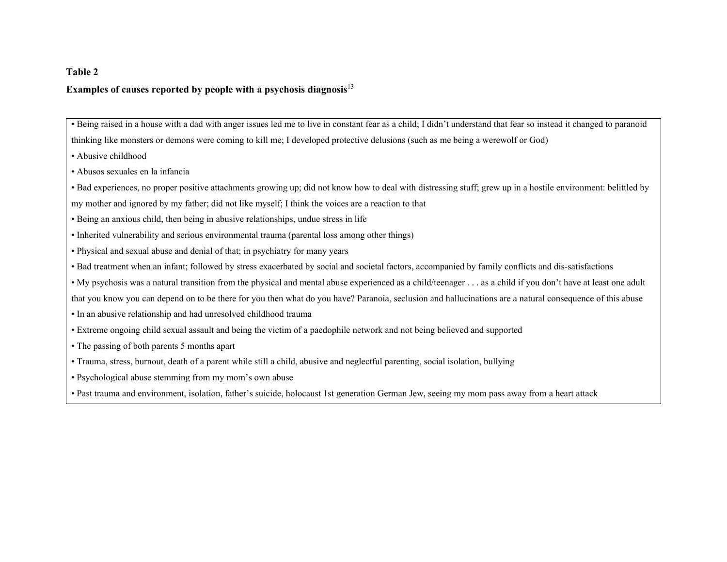### **Table 2**

### **Examples of causes reported by people with a psychosis diagnosis**<sup>13</sup>

• Being raised in a house with a dad with anger issues led me to live in constant fear as a child; I didn't understand that fear so instead it changed to paranoid

thinking like monsters or demons were coming to kill me; I developed protective delusions (such as me being a werewolf or God)

- Abusive childhood
- Abusos sexuales en la infancia

• Bad experiences, no proper positive attachments growing up; did not know how to deal with distressing stuff; grew up in a hostile environment: belittled by

my mother and ignored by my father; did not like myself; I think the voices are a reaction to that

- Being an anxious child, then being in abusive relationships, undue stress in life
- Inherited vulnerability and serious environmental trauma (parental loss among other things)
- Physical and sexual abuse and denial of that; in psychiatry for many years
- Bad treatment when an infant; followed by stress exacerbated by social and societal factors, accompanied by family conflicts and dis-satisfactions
- My psychosis was a natural transition from the physical and mental abuse experienced as a child/teenager . . . as a child if you don't have at least one adult
- that you know you can depend on to be there for you then what do you have? Paranoia, seclusion and hallucinations are a natural consequence of this abuse
- In an abusive relationship and had unresolved childhood trauma
- Extreme ongoing child sexual assault and being the victim of a paedophile network and not being believed and supported
- The passing of both parents 5 months apart
- Trauma, stress, burnout, death of a parent while still a child, abusive and neglectful parenting, social isolation, bullying
- Psychological abuse stemming from my mom's own abuse
- Past trauma and environment, isolation, father's suicide, holocaust 1st generation German Jew, seeing my mom pass away from a heart attack